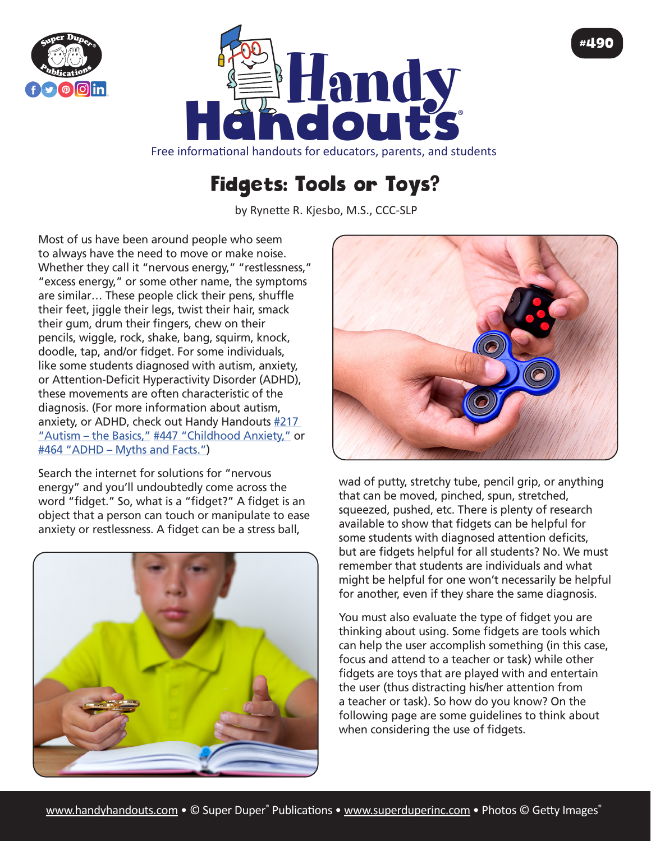



Free informational handouts for educators, parents, and students

## Fidgets: Tools or Toys?

by Rynette R. Kjesbo, M.S., CCC-SLP

Most of us have been around people who seem to always have the need to move or make noise. Whether they call it "nervous energy," "restlessness," "excess energy," or some other name, the symptoms are similar… These people click their pens, shuffle their feet, jiggle their legs, twist their hair, smack their gum, drum their fingers, chew on their pencils, wiggle, rock, shake, bang, squirm, knock, doodle, tap, and/or fidget. For some individuals, like some students diagnosed with autism, anxiety, or Attention-Deficit Hyperactivity Disorder (ADHD), these movements are often characteristic of the diagnosis. (For more information about autism, anxiety, or ADHD, check out Handy Handouts [#217](https://www.superduperinc.com/handouts/pdf/217_Autism1.pdf)  ["Autism – the Basics,"](https://www.superduperinc.com/handouts/pdf/217_Autism1.pdf) [#447 "Childhood Anxiety,"](https://www.superduperinc.com/handouts/pdf/447_ChildhoodAnxiety.pdf) or [#464 "ADHD – Myths and Facts."](https://www.superduperinc.com/handouts/pdf/464_ADHD.pdf))

Search the internet for solutions for "nervous energy" and you'll undoubtedly come across the word "fidget." So, what is a "fidget?" A fidget is an object that a person can touch or manipulate to ease anxiety or restlessness. A fidget can be a stress ball,





#490

wad of putty, stretchy tube, pencil grip, or anything that can be moved, pinched, spun, stretched, squeezed, pushed, etc. There is plenty of research available to show that fidgets can be helpful for some students with diagnosed attention deficits, but are fidgets helpful for all students? No. We must remember that students are individuals and what might be helpful for one won't necessarily be helpful for another, even if they share the same diagnosis.

You must also evaluate the type of fidget you are thinking about using. Some fidgets are tools which can help the user accomplish something (in this case, focus and attend to a teacher or task) while other fidgets are toys that are played with and entertain the user (thus distracting his/her attention from a teacher or task). So how do you know? On the following page are some guidelines to think about when considering the use of fidgets.